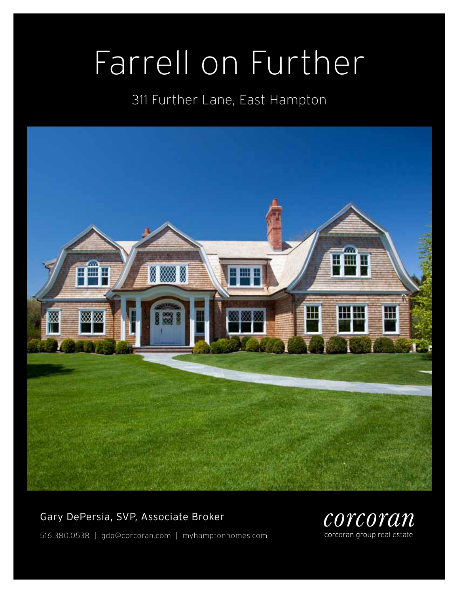# Farrell on Further

## 311 Further Lane, East Hampton



### Gary DePersia, SVP, Associate Broker



516.380.0538 | gdp@corcoran.com | myhamptonhomes.com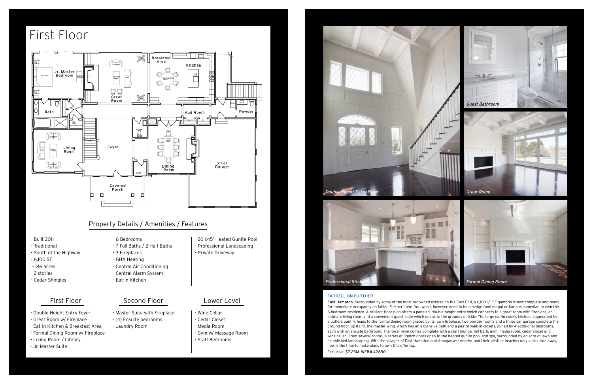### farrell on further

East Hampton. Surrounded by some of the most renowned estates on the East End, a 6,100+/- SF gambrel is now complete and ready for immediate occupancy on fabled Further Lane. You won't, however, need to be a hedge fund mogul or famous comedian to own this 6 bedroom residence. A brilliant floor plan offers a paneled, double-height entry which connects to a great room with fireplace, an intimate living room and a convenient guest suite which opens to the grounds outside. The large eat-in cook's kitchen, augmented by a butlers pantry, leads to the formal dining room graced by its' own fireplace. Two powder rooms and a three car garage complete the ground floor. Upstairs, the master wing, which has an expansive bath and a pair of walk-in closets, joined by 4 additional bedrooms, each with an ensuite bathroom. The lower level comes complete with a staff lounge, full bath, gym, media room, cedar closet and wine cellar. From several rooms, a series of French doors open to the heated gunite pool and spa, surrounded by an acre of lawn and established landscaping. With the villages of East Hampton and Amagansett nearby, and their pristine beaches only a bike ride away, now is the time to make plans to own this offering.

Exclusive. \$7.25M WEB# 42890

Laundry Room

- Built 2011
- Traditional
- South of the Highway
- 6,100 SF
- .86 acres
- 2 stories
- Cedar Shingles

### - 6 Bedrooms

- 7 Full Baths / 2 Half Baths
- 3 Fireplaces
- GHA Heating
- Central Air Conditioning
- Central Alarm System
- Eat-in Kitchen

### First Floor Second Floor Lower Level

### - 20'x45' Heated Gunite Pool - Professional Landscaping - Private Driveway

# $\mu_{\tilde{\mu}_{\tilde{\mu}}}$

### Property Details / Amenities / Features

- Double Height Entry Foyer
- Great Room w/ Fireplace
- Eat-In Kitchen & Breakfast Area
- Formal Dining Room w/ Fireplace
- Living Room / Library
- Jr. Master Suite
- Master Suite with Fireplace (4) Ensuite bedrooms
- Wine Cellar - Cedar Closet
- Media Room
- Gym w/ Massage Room
- Staff Bedrooms

# First Floor



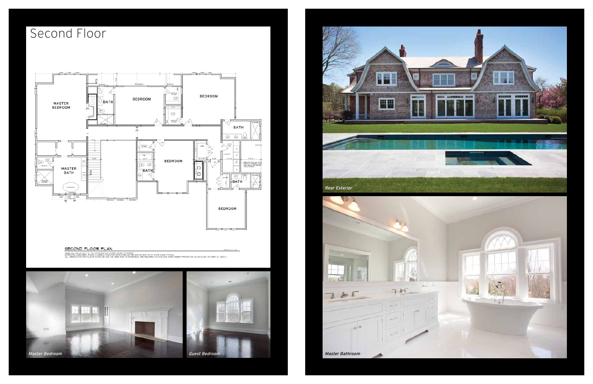# Second Floor



### SECOND FLOOR PLAN

ALL AREAS UTHO OR PILE OF COASTRUCTOR WAS NOTED CREPAINE.<br>ODEN DIS MARGINED WYSILE LOARSON YOU'RE DETECTION AS THE RESTON FOIT OF NY STATE CODE, TYPICAL.<br>ALL AREAS UTHN ONE PILE OF COASTLYNE AND THE AREA EAST OF RY/ERNEAD

MALE- Nº + P-8t





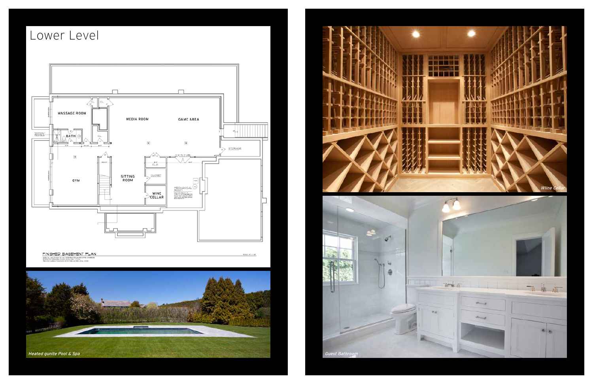# Lower Level